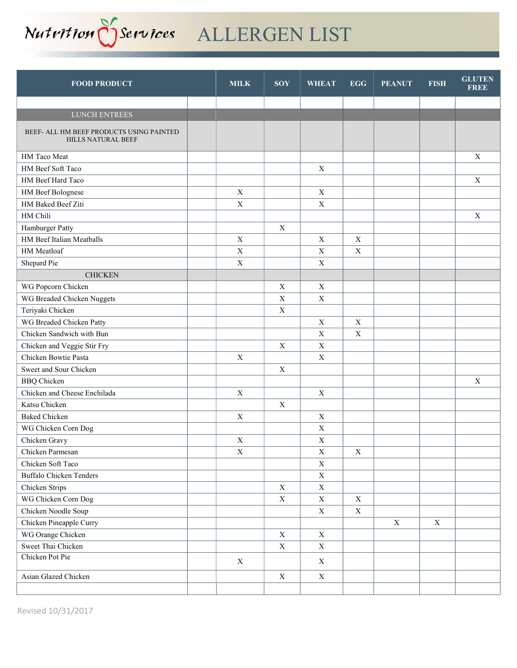

| <b>FOOD PRODUCT</b>                                                   | <b>MILK</b> | <b>SOY</b>                | <b>WHEAT</b> | <b>EGG</b>  | <b>PEANUT</b> | <b>FISH</b>               | <b>GLUTEN</b><br><b>FREE</b> |
|-----------------------------------------------------------------------|-------------|---------------------------|--------------|-------------|---------------|---------------------------|------------------------------|
|                                                                       |             |                           |              |             |               |                           |                              |
| LUNCH ENTREES                                                         |             |                           |              |             |               |                           |                              |
| BEEF- ALL HM BEEF PRODUCTS USING PAINTED<br><b>HILLS NATURAL BEEF</b> |             |                           |              |             |               |                           |                              |
| HM Taco Meat                                                          |             |                           |              |             |               |                           | X                            |
| HM Beef Soft Taco                                                     |             |                           | $\mathbf X$  |             |               |                           |                              |
| HM Beef Hard Taco                                                     |             |                           |              |             |               |                           | $\boldsymbol{\mathrm{X}}$    |
| HM Beef Bolognese                                                     | $\mathbf X$ |                           | $\mathbf X$  |             |               |                           |                              |
| HM Baked Beef Ziti                                                    | $\mathbf X$ |                           | $\mathbf X$  |             |               |                           |                              |
| HM Chili                                                              |             |                           |              |             |               |                           | $\mathbf X$                  |
| Hamburger Patty                                                       |             | $\boldsymbol{\mathrm{X}}$ |              |             |               |                           |                              |
| HM Beef Italian Meatballs                                             | $\mathbf X$ |                           | $\mathbf X$  | $\mathbf X$ |               |                           |                              |
| HM Meatloaf                                                           | $\mathbf X$ |                           | X            | $\mathbf X$ |               |                           |                              |
| Shepard Pie                                                           | X           |                           | $\mathbf X$  |             |               |                           |                              |
| <b>CHICKEN</b>                                                        |             |                           |              |             |               |                           |                              |
| WG Popcorn Chicken                                                    |             | X                         | X            |             |               |                           |                              |
| WG Breaded Chicken Nuggets                                            |             | $\boldsymbol{\mathrm{X}}$ | $\mathbf X$  |             |               |                           |                              |
| Teriyaki Chicken                                                      |             | $\mathbf X$               |              |             |               |                           |                              |
| WG Breaded Chicken Patty                                              |             |                           | X            | $\mathbf X$ |               |                           |                              |
| Chicken Sandwich with Bun                                             |             |                           | $\mathbf X$  | $\mathbf X$ |               |                           |                              |
| Chicken and Veggie Stir Fry                                           |             | $\mathbf X$               | $\mathbf X$  |             |               |                           |                              |
| Chicken Bowtie Pasta                                                  | $\mathbf X$ |                           | $\mathbf X$  |             |               |                           |                              |
| Sweet and Sour Chicken                                                |             | $\mathbf X$               |              |             |               |                           |                              |
| <b>BBQ</b> Chicken                                                    |             |                           |              |             |               |                           | X                            |
| Chicken and Cheese Enchilada                                          | $\mathbf X$ |                           | $\mathbf X$  |             |               |                           |                              |
| Katsu Chicken                                                         |             | $\boldsymbol{\mathrm{X}}$ |              |             |               |                           |                              |
| <b>Baked Chicken</b>                                                  | X           |                           | $\mathbf X$  |             |               |                           |                              |
| WG Chicken Corn Dog                                                   |             |                           | $\mathbf X$  |             |               |                           |                              |
| Chicken Gravy                                                         | $\mathbf X$ |                           | $\mathbf X$  |             |               |                           |                              |
| Chicken Parmesan                                                      | $\mathbf X$ |                           | $\mathbf X$  | $\mathbf X$ |               |                           |                              |
| Chicken Soft Taco                                                     |             |                           | $\mathbf X$  |             |               |                           |                              |
| <b>Buffalo Chicken Tenders</b>                                        |             |                           | $\mathbf X$  |             |               |                           |                              |
| Chicken Strips                                                        |             | $\mathbf X$               | $\mathbf X$  |             |               |                           |                              |
| WG Chicken Corn Dog                                                   |             | $\mathbf X$               | $\mathbf X$  | $\mathbf X$ |               |                           |                              |
| Chicken Noodle Soup                                                   |             |                           | $\mathbf X$  | $\mathbf X$ |               |                           |                              |
| Chicken Pineapple Curry                                               |             |                           |              |             | $\mathbf X$   | $\boldsymbol{\mathrm{X}}$ |                              |
| WG Orange Chicken                                                     |             | $\mathbf X$               | $\mathbf X$  |             |               |                           |                              |
| Sweet Thai Chicken                                                    |             | $\mathbf X$               | $\mathbf X$  |             |               |                           |                              |
| Chicken Pot Pie                                                       | $\mathbf X$ |                           | $\mathbf X$  |             |               |                           |                              |
| Asian Glazed Chicken                                                  |             | $\mathbf X$               | $\mathbf X$  |             |               |                           |                              |
|                                                                       |             |                           |              |             |               |                           |                              |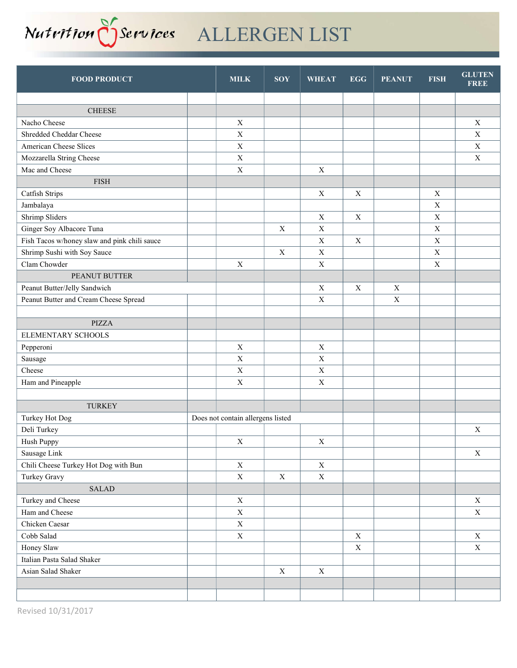

| <b>CHEESE</b>                                                                             |             |
|-------------------------------------------------------------------------------------------|-------------|
| Nacho Cheese<br>$\mathbf X$                                                               | $\mathbf X$ |
| $\mathbf X$<br>Shredded Cheddar Cheese                                                    | $\mathbf X$ |
| American Cheese Slices<br>$\mathbf X$                                                     | $\mathbf X$ |
| Mozzarella String Cheese<br>$\mathbf X$                                                   | $\mathbf X$ |
| $\mathbf X$<br>Mac and Cheese<br>$\mathbf X$                                              |             |
| <b>FISH</b>                                                                               |             |
| $\mathbf X$<br>$\mathbf X$<br>$\mathbf X$<br>Catfish Strips                               |             |
| $\mathbf X$<br>Jambalaya                                                                  |             |
| Shrimp Sliders<br>$\mathbf X$<br>$\mathbf X$<br>$\mathbf X$                               |             |
| Ginger Soy Albacore Tuna<br>$\mathbf X$<br>$\mathbf X$<br>$\mathbf X$                     |             |
| $\mathbf X$<br>$\mathbf X$<br>Fish Tacos w/honey slaw and pink chili sauce<br>$\mathbf X$ |             |
| Shrimp Sushi with Soy Sauce<br>$\mathbf X$<br>$\mathbf X$<br>$\mathbf X$                  |             |
| Clam Chowder<br>$\mathbf X$<br>$\mathbf X$<br>$\mathbf X$                                 |             |
| PEANUT BUTTER                                                                             |             |
| Peanut Butter/Jelly Sandwich<br>$\mathbf X$<br>X<br>$\mathbf X$                           |             |
| Peanut Butter and Cream Cheese Spread<br>$\mathbf X$<br>$\mathbf X$                       |             |
|                                                                                           |             |
| <b>PIZZA</b>                                                                              |             |
| ELEMENTARY SCHOOLS                                                                        |             |
| $\mathbf X$<br>$\mathbf X$<br>Pepperoni                                                   |             |
| $\mathbf X$<br>$\mathbf X$<br>Sausage                                                     |             |
| Cheese<br>$\mathbf X$<br>$\mathbf X$                                                      |             |
| Ham and Pineapple<br>$\mathbf X$<br>$\mathbf X$                                           |             |
|                                                                                           |             |
| <b>TURKEY</b>                                                                             |             |
| Turkey Hot Dog<br>Does not contain allergens listed                                       |             |
| Deli Turkey                                                                               | $\mathbf X$ |
| Hush Puppy<br>$\mathbf X$<br>$\mathbf X$                                                  |             |
| Sausage Link                                                                              | $\mathbf X$ |
| Chili Cheese Turkey Hot Dog with Bun<br>$\mathbf X$<br>$\mathbf X$                        |             |
| Turkey Gravy<br>$\mathbf X$<br>$\mathbf X$<br>$\mathbf X$                                 |             |
| SALAD                                                                                     |             |
| Turkey and Cheese<br>$\mathbf X$                                                          | $\mathbf X$ |
| Ham and Cheese<br>$\mathbf X$                                                             | $\mathbf X$ |
| Chicken Caesar<br>$\mathbf X$                                                             |             |
| Cobb Salad<br>$\mathbf X$<br>$\mathbf X$                                                  | X           |
| Honey Slaw<br>$\mathbf X$                                                                 | $\mathbf X$ |
| Italian Pasta Salad Shaker                                                                |             |
| Asian Salad Shaker<br>$\mathbf X$<br>$\mathbf X$                                          |             |
|                                                                                           |             |
|                                                                                           |             |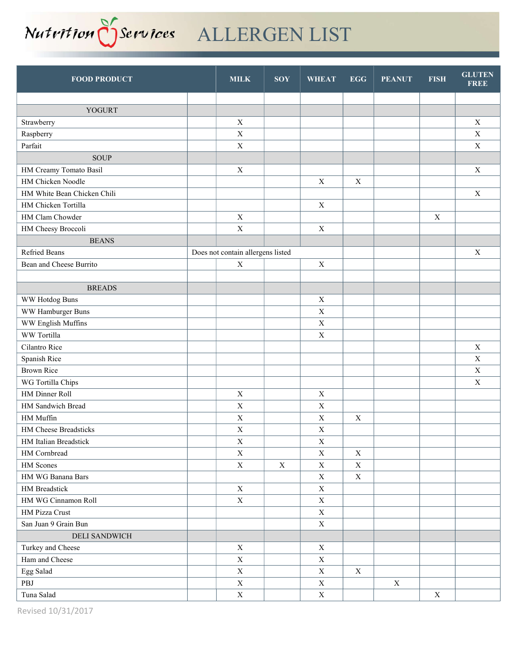

| <b>YOGURT</b><br>$\mathbf X$<br>Strawberry<br>$\mathbf X$<br>$\mathbf X$<br>$\mathbf X$<br>Raspberry<br>$\mathbf X$<br>$\mathbf X$<br>Parfait<br><b>SOUP</b><br>HM Creamy Tomato Basil<br>$\mathbf X$<br>$\mathbf X$<br>HM Chicken Noodle<br>X<br>$\mathbf X$<br>HM White Bean Chicken Chili<br>$\mathbf X$<br>HM Chicken Tortilla<br>$\mathbf X$<br>HM Clam Chowder<br>$\boldsymbol{\mathrm{X}}$<br>$\mathbf X$<br>$\mathbf X$<br>HM Cheesy Broccoli<br>$\mathbf X$<br><b>BEANS</b><br>Refried Beans<br>Does not contain allergens listed<br>X<br>Bean and Cheese Burrito<br>$\mathbf X$<br>$\mathbf X$<br><b>BREADS</b><br>$\mathbf X$<br>WW Hotdog Buns<br>WW Hamburger Buns<br>$\mathbf X$<br>WW English Muffins<br>$\mathbf X$<br>WW Tortilla<br>$\mathbf X$<br>$\mathbf X$<br>Cilantro Rice<br>Spanish Rice<br>$\mathbf X$<br><b>Brown Rice</b><br>$\mathbf X$<br>$\mathbf X$<br>WG Tortilla Chips<br>HM Dinner Roll<br>$\mathbf X$<br>$\mathbf X$<br>HM Sandwich Bread<br>$\mathbf X$<br>$\mathbf X$<br>$\mathbf X$<br>HM Muffin<br>$\mathbf X$<br>$\mathbf X$<br>HM Cheese Breadsticks<br>$\mathbf X$<br>$\mathbf X$<br>HM Italian Breadstick<br>$\mathbf X$<br>$\mathbf X$<br>HM Cornbread<br>$\mathbf X$<br>$\mathbf X$<br>$\mathbf X$<br>$\mathbf X$<br>HM Scones<br>$\mathbf X$<br>$\mathbf X$<br>$\mathbf X$<br>HM WG Banana Bars<br>$\mathbf X$<br>$\mathbf X$<br>$\mathbf X$<br>HM Breadstick<br>$\mathbf X$<br>HM WG Cinnamon Roll<br>$\mathbf X$<br>$\mathbf X$<br>HM Pizza Crust<br>$\mathbf X$<br>$\mathbf X$<br>San Juan 9 Grain Bun<br>DELI SANDWICH<br>$\mathbf X$<br>Turkey and Cheese<br>$\mathbf X$<br>$\mathbf X$<br>Ham and Cheese<br>$\mathbf X$<br>Egg Salad<br>$\mathbf X$<br>$\mathbf X$<br>$\mathbf X$<br>PBJ<br>$\mathbf X$<br>$\mathbf X$<br>$\mathbf X$<br>Tuna Salad<br>$\mathbf X$<br>$\mathbf X$<br>$\mathbf X$ | <b>FOOD PRODUCT</b> | <b>MILK</b> | <b>SOY</b> | <b>WHEAT</b> | <b>EGG</b> | <b>PEANUT</b> | <b>FISH</b> | <b>GLUTEN</b><br><b>FREE</b> |
|-------------------------------------------------------------------------------------------------------------------------------------------------------------------------------------------------------------------------------------------------------------------------------------------------------------------------------------------------------------------------------------------------------------------------------------------------------------------------------------------------------------------------------------------------------------------------------------------------------------------------------------------------------------------------------------------------------------------------------------------------------------------------------------------------------------------------------------------------------------------------------------------------------------------------------------------------------------------------------------------------------------------------------------------------------------------------------------------------------------------------------------------------------------------------------------------------------------------------------------------------------------------------------------------------------------------------------------------------------------------------------------------------------------------------------------------------------------------------------------------------------------------------------------------------------------------------------------------------------------------------------------------------------------------------------------------------------------------------------------------------------------------------------------------------------------------------------------------------------|---------------------|-------------|------------|--------------|------------|---------------|-------------|------------------------------|
|                                                                                                                                                                                                                                                                                                                                                                                                                                                                                                                                                                                                                                                                                                                                                                                                                                                                                                                                                                                                                                                                                                                                                                                                                                                                                                                                                                                                                                                                                                                                                                                                                                                                                                                                                                                                                                                       |                     |             |            |              |            |               |             |                              |
|                                                                                                                                                                                                                                                                                                                                                                                                                                                                                                                                                                                                                                                                                                                                                                                                                                                                                                                                                                                                                                                                                                                                                                                                                                                                                                                                                                                                                                                                                                                                                                                                                                                                                                                                                                                                                                                       |                     |             |            |              |            |               |             |                              |
|                                                                                                                                                                                                                                                                                                                                                                                                                                                                                                                                                                                                                                                                                                                                                                                                                                                                                                                                                                                                                                                                                                                                                                                                                                                                                                                                                                                                                                                                                                                                                                                                                                                                                                                                                                                                                                                       |                     |             |            |              |            |               |             |                              |
|                                                                                                                                                                                                                                                                                                                                                                                                                                                                                                                                                                                                                                                                                                                                                                                                                                                                                                                                                                                                                                                                                                                                                                                                                                                                                                                                                                                                                                                                                                                                                                                                                                                                                                                                                                                                                                                       |                     |             |            |              |            |               |             |                              |
|                                                                                                                                                                                                                                                                                                                                                                                                                                                                                                                                                                                                                                                                                                                                                                                                                                                                                                                                                                                                                                                                                                                                                                                                                                                                                                                                                                                                                                                                                                                                                                                                                                                                                                                                                                                                                                                       |                     |             |            |              |            |               |             |                              |
|                                                                                                                                                                                                                                                                                                                                                                                                                                                                                                                                                                                                                                                                                                                                                                                                                                                                                                                                                                                                                                                                                                                                                                                                                                                                                                                                                                                                                                                                                                                                                                                                                                                                                                                                                                                                                                                       |                     |             |            |              |            |               |             |                              |
|                                                                                                                                                                                                                                                                                                                                                                                                                                                                                                                                                                                                                                                                                                                                                                                                                                                                                                                                                                                                                                                                                                                                                                                                                                                                                                                                                                                                                                                                                                                                                                                                                                                                                                                                                                                                                                                       |                     |             |            |              |            |               |             |                              |
|                                                                                                                                                                                                                                                                                                                                                                                                                                                                                                                                                                                                                                                                                                                                                                                                                                                                                                                                                                                                                                                                                                                                                                                                                                                                                                                                                                                                                                                                                                                                                                                                                                                                                                                                                                                                                                                       |                     |             |            |              |            |               |             |                              |
|                                                                                                                                                                                                                                                                                                                                                                                                                                                                                                                                                                                                                                                                                                                                                                                                                                                                                                                                                                                                                                                                                                                                                                                                                                                                                                                                                                                                                                                                                                                                                                                                                                                                                                                                                                                                                                                       |                     |             |            |              |            |               |             |                              |
|                                                                                                                                                                                                                                                                                                                                                                                                                                                                                                                                                                                                                                                                                                                                                                                                                                                                                                                                                                                                                                                                                                                                                                                                                                                                                                                                                                                                                                                                                                                                                                                                                                                                                                                                                                                                                                                       |                     |             |            |              |            |               |             |                              |
|                                                                                                                                                                                                                                                                                                                                                                                                                                                                                                                                                                                                                                                                                                                                                                                                                                                                                                                                                                                                                                                                                                                                                                                                                                                                                                                                                                                                                                                                                                                                                                                                                                                                                                                                                                                                                                                       |                     |             |            |              |            |               |             |                              |
|                                                                                                                                                                                                                                                                                                                                                                                                                                                                                                                                                                                                                                                                                                                                                                                                                                                                                                                                                                                                                                                                                                                                                                                                                                                                                                                                                                                                                                                                                                                                                                                                                                                                                                                                                                                                                                                       |                     |             |            |              |            |               |             |                              |
|                                                                                                                                                                                                                                                                                                                                                                                                                                                                                                                                                                                                                                                                                                                                                                                                                                                                                                                                                                                                                                                                                                                                                                                                                                                                                                                                                                                                                                                                                                                                                                                                                                                                                                                                                                                                                                                       |                     |             |            |              |            |               |             |                              |
|                                                                                                                                                                                                                                                                                                                                                                                                                                                                                                                                                                                                                                                                                                                                                                                                                                                                                                                                                                                                                                                                                                                                                                                                                                                                                                                                                                                                                                                                                                                                                                                                                                                                                                                                                                                                                                                       |                     |             |            |              |            |               |             |                              |
|                                                                                                                                                                                                                                                                                                                                                                                                                                                                                                                                                                                                                                                                                                                                                                                                                                                                                                                                                                                                                                                                                                                                                                                                                                                                                                                                                                                                                                                                                                                                                                                                                                                                                                                                                                                                                                                       |                     |             |            |              |            |               |             |                              |
|                                                                                                                                                                                                                                                                                                                                                                                                                                                                                                                                                                                                                                                                                                                                                                                                                                                                                                                                                                                                                                                                                                                                                                                                                                                                                                                                                                                                                                                                                                                                                                                                                                                                                                                                                                                                                                                       |                     |             |            |              |            |               |             |                              |
|                                                                                                                                                                                                                                                                                                                                                                                                                                                                                                                                                                                                                                                                                                                                                                                                                                                                                                                                                                                                                                                                                                                                                                                                                                                                                                                                                                                                                                                                                                                                                                                                                                                                                                                                                                                                                                                       |                     |             |            |              |            |               |             |                              |
|                                                                                                                                                                                                                                                                                                                                                                                                                                                                                                                                                                                                                                                                                                                                                                                                                                                                                                                                                                                                                                                                                                                                                                                                                                                                                                                                                                                                                                                                                                                                                                                                                                                                                                                                                                                                                                                       |                     |             |            |              |            |               |             |                              |
|                                                                                                                                                                                                                                                                                                                                                                                                                                                                                                                                                                                                                                                                                                                                                                                                                                                                                                                                                                                                                                                                                                                                                                                                                                                                                                                                                                                                                                                                                                                                                                                                                                                                                                                                                                                                                                                       |                     |             |            |              |            |               |             |                              |
|                                                                                                                                                                                                                                                                                                                                                                                                                                                                                                                                                                                                                                                                                                                                                                                                                                                                                                                                                                                                                                                                                                                                                                                                                                                                                                                                                                                                                                                                                                                                                                                                                                                                                                                                                                                                                                                       |                     |             |            |              |            |               |             |                              |
|                                                                                                                                                                                                                                                                                                                                                                                                                                                                                                                                                                                                                                                                                                                                                                                                                                                                                                                                                                                                                                                                                                                                                                                                                                                                                                                                                                                                                                                                                                                                                                                                                                                                                                                                                                                                                                                       |                     |             |            |              |            |               |             |                              |
|                                                                                                                                                                                                                                                                                                                                                                                                                                                                                                                                                                                                                                                                                                                                                                                                                                                                                                                                                                                                                                                                                                                                                                                                                                                                                                                                                                                                                                                                                                                                                                                                                                                                                                                                                                                                                                                       |                     |             |            |              |            |               |             |                              |
|                                                                                                                                                                                                                                                                                                                                                                                                                                                                                                                                                                                                                                                                                                                                                                                                                                                                                                                                                                                                                                                                                                                                                                                                                                                                                                                                                                                                                                                                                                                                                                                                                                                                                                                                                                                                                                                       |                     |             |            |              |            |               |             |                              |
|                                                                                                                                                                                                                                                                                                                                                                                                                                                                                                                                                                                                                                                                                                                                                                                                                                                                                                                                                                                                                                                                                                                                                                                                                                                                                                                                                                                                                                                                                                                                                                                                                                                                                                                                                                                                                                                       |                     |             |            |              |            |               |             |                              |
|                                                                                                                                                                                                                                                                                                                                                                                                                                                                                                                                                                                                                                                                                                                                                                                                                                                                                                                                                                                                                                                                                                                                                                                                                                                                                                                                                                                                                                                                                                                                                                                                                                                                                                                                                                                                                                                       |                     |             |            |              |            |               |             |                              |
|                                                                                                                                                                                                                                                                                                                                                                                                                                                                                                                                                                                                                                                                                                                                                                                                                                                                                                                                                                                                                                                                                                                                                                                                                                                                                                                                                                                                                                                                                                                                                                                                                                                                                                                                                                                                                                                       |                     |             |            |              |            |               |             |                              |
|                                                                                                                                                                                                                                                                                                                                                                                                                                                                                                                                                                                                                                                                                                                                                                                                                                                                                                                                                                                                                                                                                                                                                                                                                                                                                                                                                                                                                                                                                                                                                                                                                                                                                                                                                                                                                                                       |                     |             |            |              |            |               |             |                              |
|                                                                                                                                                                                                                                                                                                                                                                                                                                                                                                                                                                                                                                                                                                                                                                                                                                                                                                                                                                                                                                                                                                                                                                                                                                                                                                                                                                                                                                                                                                                                                                                                                                                                                                                                                                                                                                                       |                     |             |            |              |            |               |             |                              |
|                                                                                                                                                                                                                                                                                                                                                                                                                                                                                                                                                                                                                                                                                                                                                                                                                                                                                                                                                                                                                                                                                                                                                                                                                                                                                                                                                                                                                                                                                                                                                                                                                                                                                                                                                                                                                                                       |                     |             |            |              |            |               |             |                              |
|                                                                                                                                                                                                                                                                                                                                                                                                                                                                                                                                                                                                                                                                                                                                                                                                                                                                                                                                                                                                                                                                                                                                                                                                                                                                                                                                                                                                                                                                                                                                                                                                                                                                                                                                                                                                                                                       |                     |             |            |              |            |               |             |                              |
|                                                                                                                                                                                                                                                                                                                                                                                                                                                                                                                                                                                                                                                                                                                                                                                                                                                                                                                                                                                                                                                                                                                                                                                                                                                                                                                                                                                                                                                                                                                                                                                                                                                                                                                                                                                                                                                       |                     |             |            |              |            |               |             |                              |
|                                                                                                                                                                                                                                                                                                                                                                                                                                                                                                                                                                                                                                                                                                                                                                                                                                                                                                                                                                                                                                                                                                                                                                                                                                                                                                                                                                                                                                                                                                                                                                                                                                                                                                                                                                                                                                                       |                     |             |            |              |            |               |             |                              |
|                                                                                                                                                                                                                                                                                                                                                                                                                                                                                                                                                                                                                                                                                                                                                                                                                                                                                                                                                                                                                                                                                                                                                                                                                                                                                                                                                                                                                                                                                                                                                                                                                                                                                                                                                                                                                                                       |                     |             |            |              |            |               |             |                              |
|                                                                                                                                                                                                                                                                                                                                                                                                                                                                                                                                                                                                                                                                                                                                                                                                                                                                                                                                                                                                                                                                                                                                                                                                                                                                                                                                                                                                                                                                                                                                                                                                                                                                                                                                                                                                                                                       |                     |             |            |              |            |               |             |                              |
|                                                                                                                                                                                                                                                                                                                                                                                                                                                                                                                                                                                                                                                                                                                                                                                                                                                                                                                                                                                                                                                                                                                                                                                                                                                                                                                                                                                                                                                                                                                                                                                                                                                                                                                                                                                                                                                       |                     |             |            |              |            |               |             |                              |
|                                                                                                                                                                                                                                                                                                                                                                                                                                                                                                                                                                                                                                                                                                                                                                                                                                                                                                                                                                                                                                                                                                                                                                                                                                                                                                                                                                                                                                                                                                                                                                                                                                                                                                                                                                                                                                                       |                     |             |            |              |            |               |             |                              |
|                                                                                                                                                                                                                                                                                                                                                                                                                                                                                                                                                                                                                                                                                                                                                                                                                                                                                                                                                                                                                                                                                                                                                                                                                                                                                                                                                                                                                                                                                                                                                                                                                                                                                                                                                                                                                                                       |                     |             |            |              |            |               |             |                              |
|                                                                                                                                                                                                                                                                                                                                                                                                                                                                                                                                                                                                                                                                                                                                                                                                                                                                                                                                                                                                                                                                                                                                                                                                                                                                                                                                                                                                                                                                                                                                                                                                                                                                                                                                                                                                                                                       |                     |             |            |              |            |               |             |                              |
|                                                                                                                                                                                                                                                                                                                                                                                                                                                                                                                                                                                                                                                                                                                                                                                                                                                                                                                                                                                                                                                                                                                                                                                                                                                                                                                                                                                                                                                                                                                                                                                                                                                                                                                                                                                                                                                       |                     |             |            |              |            |               |             |                              |
|                                                                                                                                                                                                                                                                                                                                                                                                                                                                                                                                                                                                                                                                                                                                                                                                                                                                                                                                                                                                                                                                                                                                                                                                                                                                                                                                                                                                                                                                                                                                                                                                                                                                                                                                                                                                                                                       |                     |             |            |              |            |               |             |                              |
|                                                                                                                                                                                                                                                                                                                                                                                                                                                                                                                                                                                                                                                                                                                                                                                                                                                                                                                                                                                                                                                                                                                                                                                                                                                                                                                                                                                                                                                                                                                                                                                                                                                                                                                                                                                                                                                       |                     |             |            |              |            |               |             |                              |
|                                                                                                                                                                                                                                                                                                                                                                                                                                                                                                                                                                                                                                                                                                                                                                                                                                                                                                                                                                                                                                                                                                                                                                                                                                                                                                                                                                                                                                                                                                                                                                                                                                                                                                                                                                                                                                                       |                     |             |            |              |            |               |             |                              |
|                                                                                                                                                                                                                                                                                                                                                                                                                                                                                                                                                                                                                                                                                                                                                                                                                                                                                                                                                                                                                                                                                                                                                                                                                                                                                                                                                                                                                                                                                                                                                                                                                                                                                                                                                                                                                                                       |                     |             |            |              |            |               |             |                              |

Revised 10/31/2017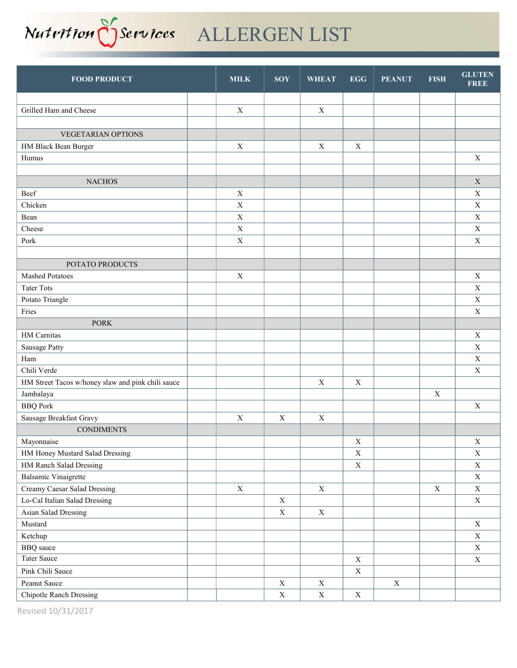# Nutrition Oservices ALLERGEN LIST

| <b>FOOD PRODUCT</b>                               | <b>MILK</b> | <b>SOY</b>  | <b>WHEAT</b> | <b>EGG</b>       | <b>PEANUT</b> | <b>FISH</b> | <b>GLUTEN</b><br><b>FREE</b> |
|---------------------------------------------------|-------------|-------------|--------------|------------------|---------------|-------------|------------------------------|
|                                                   |             |             |              |                  |               |             |                              |
| Grilled Ham and Cheese                            | $\mathbf X$ |             | $\mathbf X$  |                  |               |             |                              |
|                                                   |             |             |              |                  |               |             |                              |
| <b>VEGETARIAN OPTIONS</b>                         |             |             |              |                  |               |             |                              |
| HM Black Bean Burger                              | $\mathbf X$ |             | $\mathbf X$  | $\mathbf X$      |               |             |                              |
| Humus                                             |             |             |              |                  |               |             | $\mathbf X$                  |
|                                                   |             |             |              |                  |               |             |                              |
| <b>NACHOS</b>                                     |             |             |              |                  |               |             | $\mathbf X$                  |
| Beef                                              | $\mathbf X$ |             |              |                  |               |             | $\mathbf X$                  |
| Chicken                                           | $\mathbf X$ |             |              |                  |               |             | $\mathbf X$                  |
| Bean                                              | $\mathbf X$ |             |              |                  |               |             | $\mathbf X$                  |
| Cheese                                            | $\mathbf X$ |             |              |                  |               |             | $\mathbf X$                  |
| Pork                                              | $\mathbf X$ |             |              |                  |               |             | $\mathbf X$                  |
|                                                   |             |             |              |                  |               |             |                              |
| POTATO PRODUCTS                                   |             |             |              |                  |               |             |                              |
| <b>Mashed Potatoes</b>                            | $\mathbf X$ |             |              |                  |               |             | $\mathbf X$                  |
| <b>Tater Tots</b>                                 |             |             |              |                  |               |             | $\mathbf X$                  |
| Potato Triangle                                   |             |             |              |                  |               |             | $\mathbf X$                  |
| Fries                                             |             |             |              |                  |               |             | $\mathbf X$                  |
| <b>PORK</b>                                       |             |             |              |                  |               |             |                              |
| HM Carnitas                                       |             |             |              |                  |               |             | $\mathbf X$                  |
| Sausage Patty                                     |             |             |              |                  |               |             | $\mathbf X$                  |
| Ham                                               |             |             |              |                  |               |             | $\mathbf X$                  |
| Chili Verde                                       |             |             |              |                  |               |             | $\mathbf X$                  |
| HM Street Tacos w/honey slaw and pink chili sauce |             |             | $\mathbf X$  | $\mathbf X$      |               |             |                              |
| Jambalaya                                         |             |             |              |                  |               | $\mathbf X$ |                              |
| <b>BBQ</b> Pork                                   |             |             |              |                  |               |             | $\mathbf X$                  |
| Sausage Breakfast Gravy                           | $\mathbf X$ | $\mathbf X$ | $\mathbf X$  |                  |               |             |                              |
| <b>CONDIMENTS</b>                                 |             |             |              |                  |               |             |                              |
| Mayonnaise                                        |             |             |              | $\boldsymbol{X}$ |               |             | $\mathbf X$                  |
| HM Honey Mustard Salad Dressing                   |             |             |              | $\mathbf X$      |               |             | $\mathbf X$                  |
| HM Ranch Salad Dressing                           |             |             |              | $\mathbf X$      |               |             | $\mathbf X$                  |
| <b>Balsamic Vinaigrette</b>                       |             |             |              |                  |               |             | $\mathbf X$                  |
| Creamy Caesar Salad Dressing                      | $\mathbf X$ |             | $\mathbf X$  |                  |               | $\mathbf X$ | $\mathbf X$                  |
| Lo-Cal Italian Salad Dressing                     |             | $\mathbf X$ |              |                  |               |             | $\mathbf X$                  |
| Asian Salad Dressing                              |             | $\mathbf X$ | $\mathbf X$  |                  |               |             |                              |
| Mustard                                           |             |             |              |                  |               |             | $\mathbf X$                  |
| Ketchup                                           |             |             |              |                  |               |             | $\mathbf X$                  |
| <b>BBQ</b> sauce                                  |             |             |              |                  |               |             | $\mathbf X$                  |
| Tater Sauce                                       |             |             |              | $\mathbf X$      |               |             | $\mathbf X$                  |
| Pink Chili Sauce                                  |             |             |              | $\mathbf X$      |               |             |                              |
| Peanut Sauce                                      |             | $\mathbf X$ | $\mathbf X$  |                  | $\mathbf X$   |             |                              |
| <b>Chipotle Ranch Dressing</b>                    |             | $\mathbf X$ | $\mathbf X$  | $\mathbf X$      |               |             |                              |

Revised 10/31/2017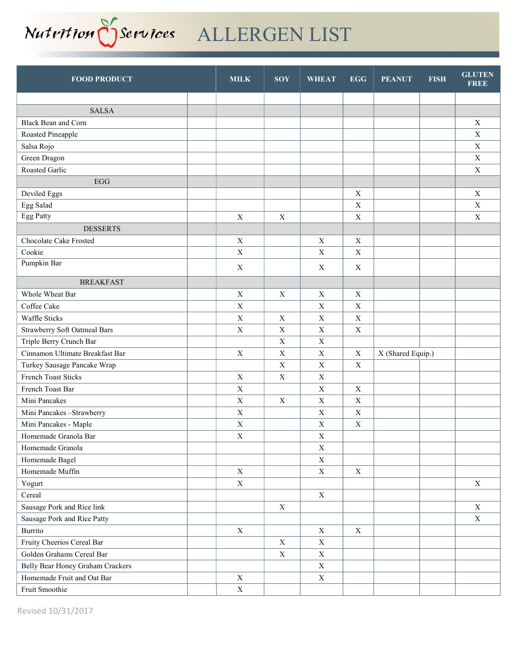

| <b>FOOD PRODUCT</b>              | <b>MILK</b>      | <b>SOY</b>  | <b>WHEAT</b> | <b>EGG</b>  | <b>PEANUT</b>     | <b>FISH</b> | <b>GLUTEN</b><br><b>FREE</b> |
|----------------------------------|------------------|-------------|--------------|-------------|-------------------|-------------|------------------------------|
|                                  |                  |             |              |             |                   |             |                              |
| <b>SALSA</b>                     |                  |             |              |             |                   |             |                              |
| Black Bean and Corn              |                  |             |              |             |                   |             | $\mathbf X$                  |
| Roasted Pineapple                |                  |             |              |             |                   |             | $\mathbf X$                  |
| Salsa Rojo                       |                  |             |              |             |                   |             | $\mathbf X$                  |
| Green Dragon                     |                  |             |              |             |                   |             | $\mathbf X$                  |
| Roasted Garlic                   |                  |             |              |             |                   |             | $\mathbf X$                  |
| EGG                              |                  |             |              |             |                   |             |                              |
| Deviled Eggs                     |                  |             |              | $\mathbf X$ |                   |             | $\mathbf X$                  |
| Egg Salad                        |                  |             |              | $\mathbf X$ |                   |             | $\mathbf X$                  |
| Egg Patty                        | $\mathbf X$      | $\mathbf X$ |              | $\mathbf X$ |                   |             | $\mathbf X$                  |
| <b>DESSERTS</b>                  |                  |             |              |             |                   |             |                              |
| Chocolate Cake Frosted           | $\mathbf X$      |             | $\mathbf X$  | X           |                   |             |                              |
| Cookie                           | $\mathbf X$      |             | $\mathbf X$  | $\mathbf X$ |                   |             |                              |
| Pumpkin Bar                      | $\boldsymbol{X}$ |             | X            | X           |                   |             |                              |
| <b>BREAKFAST</b>                 |                  |             |              |             |                   |             |                              |
| Whole Wheat Bar                  | $\mathbf X$      | $\mathbf X$ | $\mathbf X$  | $\mathbf X$ |                   |             |                              |
| Coffee Cake                      | $\mathbf X$      |             | $\mathbf X$  | $\mathbf X$ |                   |             |                              |
| Waffle Sticks                    | X                | X           | X            | X           |                   |             |                              |
| Strawberry Soft Oatmeal Bars     | $\mathbf X$      | $\mathbf X$ | $\mathbf X$  | $\mathbf X$ |                   |             |                              |
| Triple Berry Crunch Bar          |                  | $\mathbf X$ | $\mathbf X$  |             |                   |             |                              |
| Cinnamon Ultimate Breakfast Bar  | $\mathbf X$      | $\mathbf X$ | $\mathbf X$  | X           | X (Shared Equip.) |             |                              |
| Turkey Sausage Pancake Wrap      |                  | $\mathbf X$ | $\mathbf X$  | $\mathbf X$ |                   |             |                              |
| French Toast Sticks              | $\mathbf X$      | $\mathbf X$ | $\mathbf X$  |             |                   |             |                              |
| French Toast Bar                 | $\mathbf X$      |             | X            | X           |                   |             |                              |
| Mini Pancakes                    | $\mathbf X$      | $\mathbf X$ | $\mathbf X$  | $\mathbf X$ |                   |             |                              |
| Mini Pancakes-Strawberry         | $\mathbf X$      |             | $\mathbf X$  | $\mathbf X$ |                   |             |                              |
| Mini Pancakes - Maple            | $\mathbf X$      |             | $\mathbf X$  | X           |                   |             |                              |
| Homemade Granola Bar             | $\mathbf X$      |             | $\mathbf X$  |             |                   |             |                              |
| Homemade Granola                 |                  |             | $\mathbf X$  |             |                   |             |                              |
| Homemade Bagel                   |                  |             | $\mathbf X$  |             |                   |             |                              |
| Homemade Muffin                  | $\mathbf X$      |             | $\mathbf X$  | $\mathbf X$ |                   |             |                              |
| Yogurt                           | $\mathbf X$      |             |              |             |                   |             | $\mathbf X$                  |
| Cereal                           |                  |             | $\mathbf X$  |             |                   |             |                              |
| Sausage Pork and Rice link       |                  | $\mathbf X$ |              |             |                   |             | $\mathbf X$                  |
| Sausage Pork and Rice Patty      |                  |             |              |             |                   |             | $\mathbf X$                  |
| Burrito                          | $\mathbf X$      |             | $\mathbf X$  | X           |                   |             |                              |
| Fruity Cheerios Cereal Bar       |                  | $\mathbf X$ | $\mathbf X$  |             |                   |             |                              |
| Golden Grahams Cereal Bar        |                  | $\mathbf X$ | $\mathbf X$  |             |                   |             |                              |
| Belly Bear Honey Graham Crackers |                  |             | $\mathbf X$  |             |                   |             |                              |
| Homemade Fruit and Oat Bar       | $\mathbf X$      |             | $\mathbf X$  |             |                   |             |                              |
| Fruit Smoothie                   | $\mathbf X$      |             |              |             |                   |             |                              |

Revised 10/31/2017